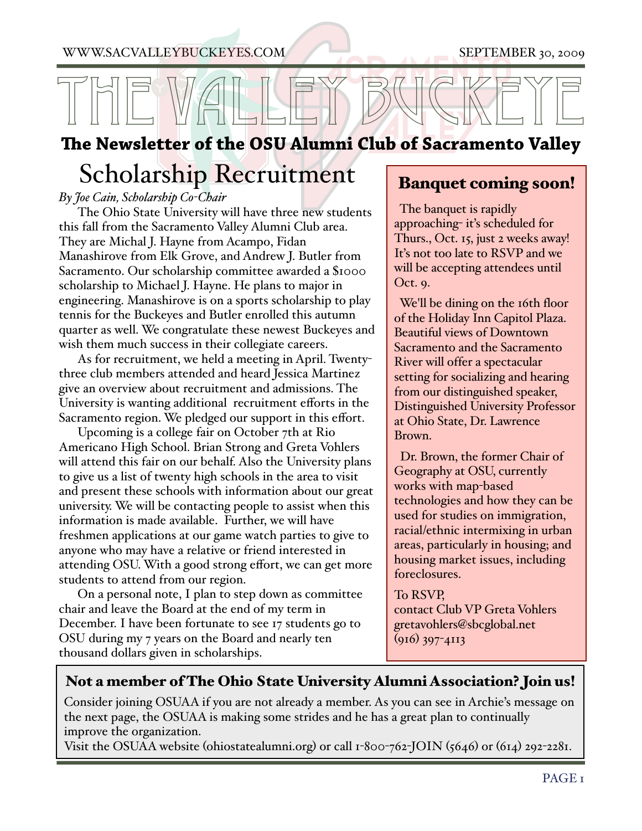[WWW.SACVALLEYBUC](http://www.sacvalleybuckeyes.com)KE[YES.COM](http://www.sacvalleybuckeyes.com) SEPTEMBER 30, 2009

# THE VALLEY BUCKEYE

#### **e Newsletter of the OSU Alumni Club of Sacramento Valley**

### Scholarship Recruitment

*By Joe Cain, Scholarship Co-Chair*

The Ohio State University will have three new students this fall from the Sacramento Valley Alumni Club area. They are Michal J. Hayne from Acampo, Fidan Manashirove from Elk Grove, and Andrew J. Butler from Sacramento. Our scholarship committee awarded a \$1000 scholarship to Michael J. Hayne. He plans to major in engineering. Manashirove is on a sports scholarship to play tennis for the Buckeyes and Butler enrolled this autumn quarter as well. We congratulate these newest Buckeyes and wish them much success in their collegiate careers.

As for recruitment, we held a meeting in April. Twentythree club members attended and heard Jessica Martinez give an overview about recruitment and admissions. The University is wanting additional recruitment efforts in the Sacramento region. We pledged our support in this effort.

Upcoming is a college fair on October 7th at Rio Americano High School. Brian Strong and Greta Vohlers will attend this fair on our behalf. Also the University plans to give us a list of twenty high schools in the area to visit and present these schools with information about our great university. We will be contacting people to assist when this information is made available. Further, we will have freshmen applications at our game watch parties to give to anyone who may have a relative or friend interested in attending OSU. With a good strong effort, we can get more students to attend from our region.

On a personal note, I plan to step down as committee chair and leave the Board at the end of my term in December. I have been fortunate to see 17 students go to OSU during my 7 years on the Board and nearly ten thousand dollars given in scholarships.

#### Banquet coming soon!

 The banquet is rapidly approaching- it's scheduled for Thurs., Oct. 15, just 2 weeks away! It's not too late to RSVP and we will be accepting attendees until Oct. 9.

 We'll be dining on the 16th floor of the Holiday Inn Capitol Plaza. Beautiful views of Downtown Sacramento and the Sacramento River will offer a spectacular setting for socializing and hearing from our distinguished speaker, Distinguished University Professor at Ohio State, Dr. Lawrence Brown.

 Dr. Brown, the former Chair of Geography at OSU, currently works with map-based technologies and how they can be used for studies on immigration, racial/ethnic intermixing in urban areas, particularly in housing; and housing market issues, including foreclosures.

#### To RSVP,

contact Club VP Greta Vohlers [gretavohlers@sbcglobal.net](mailto:gretavohlers@sbcglobal.net) (916) 397-4113

#### Not a member of The Ohio State University Alumni Association? Join us!

Consider joining OSUAA if you are not already a member. As you can see in Archie's message on the next page, the OSUAA is making some strides and he has a great plan to continually improve the organization.

Visit the OSUAA website (ohiostatealumni.org) or call 1-800-762-JOIN (5646) or (614) 292-2281.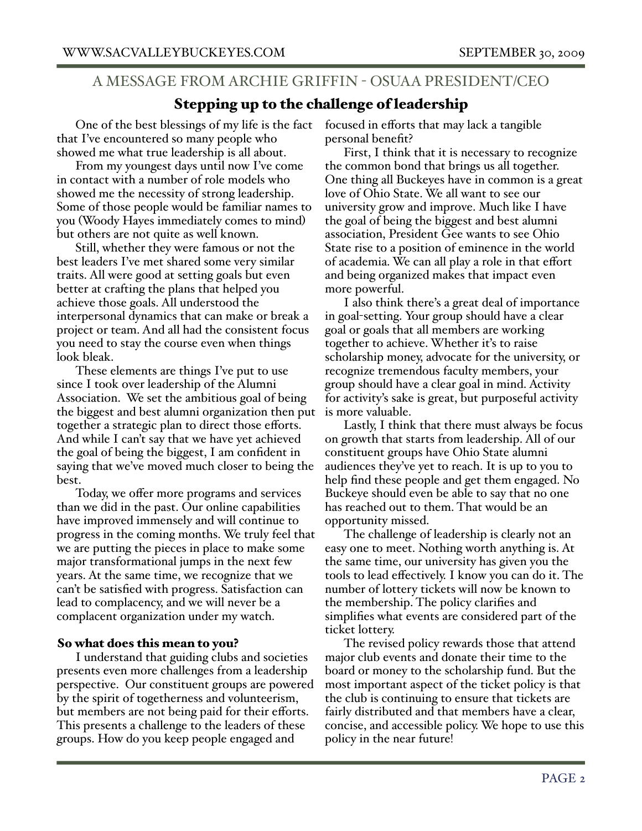#### A MESSAGE FROM ARCHIE GRIFFIN - OSUAA PRESIDENT/CEO

#### Stepping up to the challenge of leadership

One of the best blessings of my life is the fact that I've encountered so many people who showed me what true leadership is all about.

From my youngest days until now I've come in contact with a number of role models who showed me the necessity of strong leadership. Some of those people would be familiar names to you (Woody Hayes immediately comes to mind) but others are not quite as well known.

Still, whether they were famous or not the best leaders I've met shared some very similar traits. All were good at setting goals but even better at crafting the plans that helped you achieve those goals. All understood the interpersonal dynamics that can make or break a project or team. And all had the consistent focus you need to stay the course even when things look bleak.

These elements are things I've put to use since I took over leadership of the Alumni Association. We set the ambitious goal of being the biggest and best alumni organization then put together a strategic plan to direct those efforts. And while I can't say that we have yet achieved the goal of being the biggest, I am confident in saying that we've moved much closer to being the best.

Today, we offer more programs and services than we did in the past. Our online capabilities have improved immensely and will continue to progress in the coming months. We truly feel that we are putting the pieces in place to make some major transformational jumps in the next few years. At the same time, we recognize that we can't be satisfied with progress. Satisfaction can lead to complacency, and we will never be a complacent organization under my watch.

#### So what does this mean to you?

I understand that guiding clubs and societies presents even more challenges from a leadership perspective. Our constituent groups are powered by the spirit of togetherness and volunteerism, but members are not being paid for their efforts. This presents a challenge to the leaders of these groups. How do you keep people engaged and

focused in efforts that may lack a tangible personal benefit?

First, I think that it is necessary to recognize the common bond that brings us all together. One thing all Buckeyes have in common is a great love of Ohio State. We all want to see our university grow and improve. Much like I have the goal of being the biggest and best alumni association, President Gee wants to see Ohio State rise to a position of eminence in the world of academia. We can all play a role in that effort and being organized makes that impact even more powerful.

I also think there's a great deal of importance in goal-setting. Your group should have a clear goal or goals that all members are working together to achieve. Whether it's to raise scholarship money, advocate for the university, or recognize tremendous faculty members, your group should have a clear goal in mind. Activity for activity's sake is great, but purposeful activity is more valuable.

Lastly, I think that there must always be focus on growth that starts from leadership. All of our constituent groups have Ohio State alumni audiences they've yet to reach. It is up to you to help find these people and get them engaged. No Buckeye should even be able to say that no one has reached out to them. That would be an opportunity missed.

The challenge of leadership is clearly not an easy one to meet. Nothing worth anything is. At the same time, our university has given you the tools to lead effectively. I know you can do it. The number of lottery tickets will now be known to the membership. The policy clarifies and simplifies what events are considered part of the ticket lottery.

The revised policy rewards those that attend major club events and donate their time to the board or money to the scholarship fund. But the most important aspect of the ticket policy is that the club is continuing to ensure that tickets are fairly distributed and that members have a clear, concise, and accessible policy. We hope to use this policy in the near future!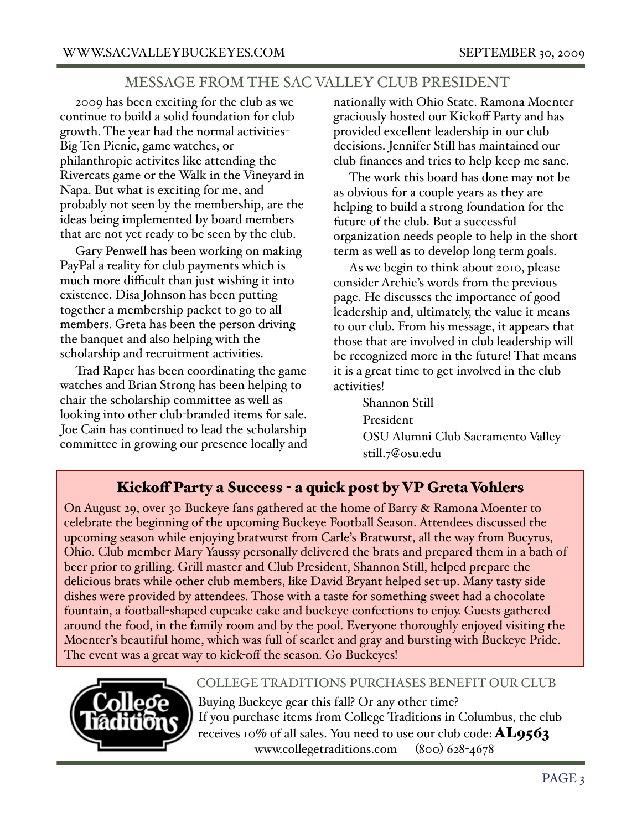#### MESSAGE FROM THE SAC VALLEY CLUB PRESIDENT

2009 has been exciting for the club as we continue to build a solid foundation for club growth. The year had the normal activities-Big Ten Picnic, game watches, or philanthropic activites like attending the Rivercats game or the Walk in the Vineyard in Napa. But what is exciting for me, and probably not seen by the membership, are the ideas being implemented by board members that are not yet ready to be seen by the club.

Gary Penwell has been working on making PayPal a reality for club payments which is much more difficult than just wishing it into existence. Disa Johnson has been putting together a membership packet to go to all members. Greta has been the person driving the banquet and also helping with the scholarship and recruitment activities.

Trad Raper has been coordinating the game watches and Brian Strong has been helping to chair the scholarship committee as well as looking into other club-branded items for sale. Joe Cain has continued to lead the scholarship committee in growing our presence locally and

nationally with Ohio State. Ramona Moenter graciously hosted our Kickoff Party and has provided excellent leadership in our club decisions. Jennifer Still has maintained our club finances and tries to help keep me sane.

The work this board has done may not be as obvious for a couple years as they are helping to build a strong foundation for the future of the club. But a successful organization needs people to help in the short term as well as to develop long term goals.

As we begin to think about 2010, please consider Archie's words from the previous page. He discusses the importance of good leadership and, ultimately, the value it means to our club. From his message, it appears that those that are involved in club leadership will be recognized more in the future! That means it is a great time to get involved in the club activities!

> Shannon Still President OSU Alumni Club Sacramento Valley [still.7@osu.edu](mailto:still.7@osu.edu)

#### Kickoff Party a Success - a quick post by VP Greta Vohlers

On August 29, over 30 Buckeye fans gathered at the home of Barry & Ramona Moenter to celebrate the beginning of the upcoming Buckeye Football Season. Attendees discussed the upcoming season while enjoying bratwurst from Carle's Bratwurst, all the way from Bucyrus, Ohio. Club member Mary Yaussy personally delivered the brats and prepared them in a bath of beer prior to grilling. Grill master and Club President, Shannon Still, helped prepare the delicious brats while other club members, like David Bryant helped set-up. Many tasty side dishes were provided by attendees. Those with a taste for something sweet had a chocolate fountain, a football-shaped cupcake cake and buckeye confections to enjoy. Guests gathered around the food, in the family room and by the pool. Everyone thoroughly enjoyed visiting the Moenter's beautiful home, which was full of scarlet and gray and bursting with Buckeye Pride. The event was a great way to kick-off the season. Go Buckeyes!



#### COLLEGE TRADITIONS PURCHASES BENEFIT OUR CLUB

Buying Buckeye gear this fall? Or any other time? If you purchase items from College Traditions in Columbus, the club receives 10% of all sales. You need to use our club code:  $\mathbf{A}\mathbf{L9563}$ [www.collegetraditions.com](http://www.collegetraditions.com) (800) 628-4678